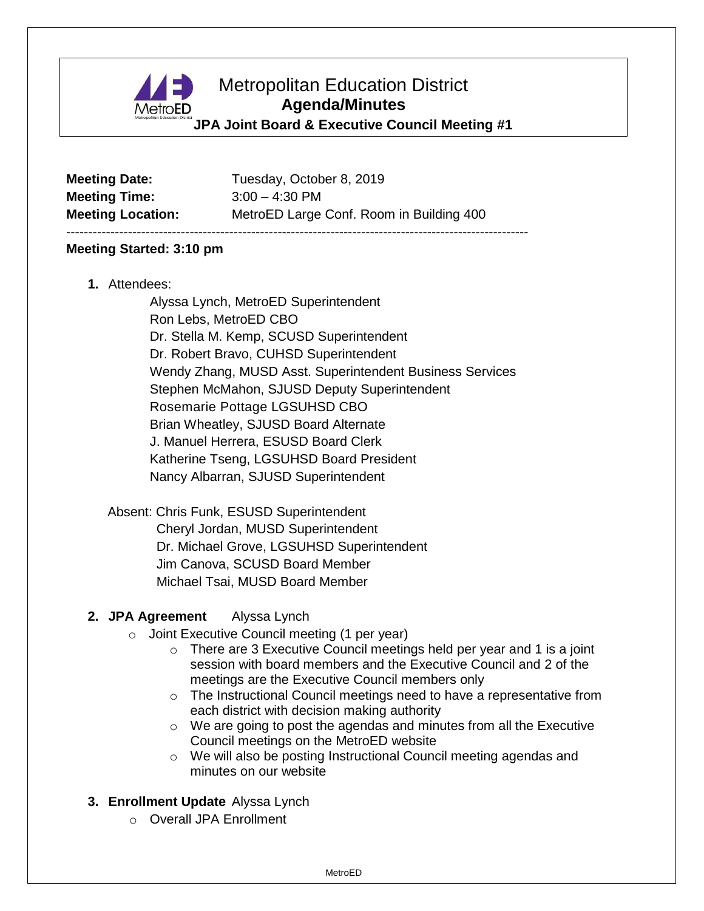

# Metropolitan Education District **Agenda/Minutes**

## **JPA Joint Board & Executive Council Meeting #1**

| <b>Meeting Date:</b>     |  |
|--------------------------|--|
| <b>Meeting Time:</b>     |  |
| <b>Meeting Location:</b> |  |

**Meeting Date:** Tuesday, October 8, 2019 **Meeting Time:** 3:00 – 4:30 PM MetroED Large Conf. Room in Building 400

---------------------------------------------------------------------------------------------------------

#### **Meeting Started: 3:10 pm**

**1.** Attendees:

Alyssa Lynch, MetroED Superintendent Ron Lebs, MetroED CBO Dr. Stella M. Kemp, SCUSD Superintendent Dr. Robert Bravo, CUHSD Superintendent Wendy Zhang, MUSD Asst. Superintendent Business Services Stephen McMahon, SJUSD Deputy Superintendent Rosemarie Pottage LGSUHSD CBO Brian Wheatley, SJUSD Board Alternate J. Manuel Herrera, ESUSD Board Clerk Katherine Tseng, LGSUHSD Board President Nancy Albarran, SJUSD Superintendent

Absent: Chris Funk, ESUSD Superintendent Cheryl Jordan, MUSD Superintendent Dr. Michael Grove, LGSUHSD Superintendent Jim Canova, SCUSD Board Member Michael Tsai, MUSD Board Member

### **2. JPA Agreement** Alyssa Lynch

- o Joint Executive Council meeting (1 per year)
	- $\circ$  There are 3 Executive Council meetings held per year and 1 is a joint session with board members and the Executive Council and 2 of the meetings are the Executive Council members only
	- $\circ$  The Instructional Council meetings need to have a representative from each district with decision making authority
	- o We are going to post the agendas and minutes from all the Executive Council meetings on the MetroED website
	- o We will also be posting Instructional Council meeting agendas and minutes on our website

### **3. Enrollment Update** Alyssa Lynch

o Overall JPA Enrollment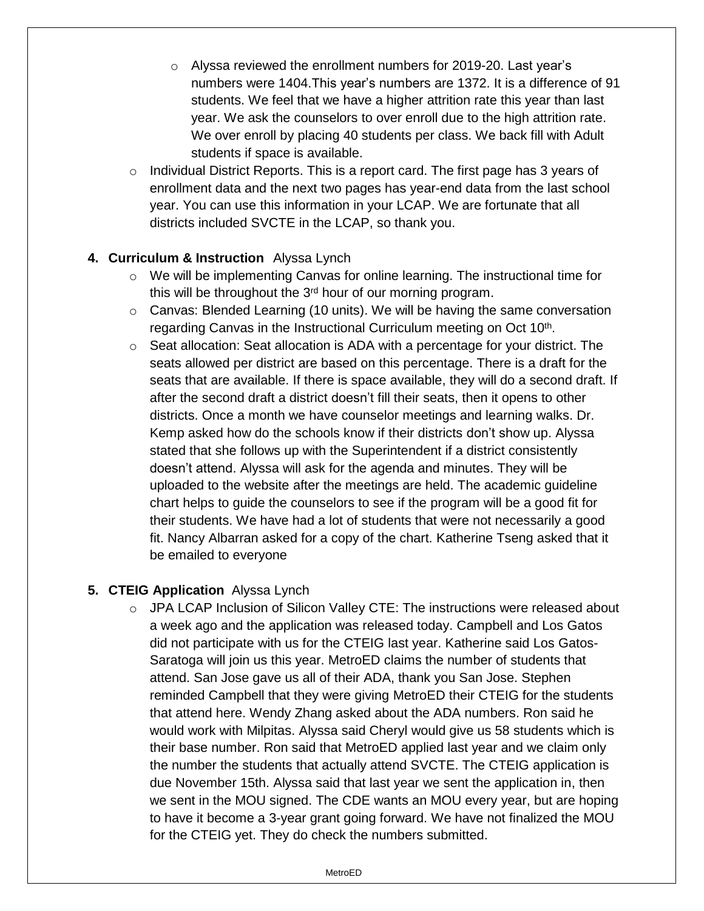- o Alyssa reviewed the enrollment numbers for 2019-20. Last year's numbers were 1404.This year's numbers are 1372. It is a difference of 91 students. We feel that we have a higher attrition rate this year than last year. We ask the counselors to over enroll due to the high attrition rate. We over enroll by placing 40 students per class. We back fill with Adult students if space is available.
- o Individual District Reports. This is a report card. The first page has 3 years of enrollment data and the next two pages has year-end data from the last school year. You can use this information in your LCAP. We are fortunate that all districts included SVCTE in the LCAP, so thank you.

## **4. Curriculum & Instruction** Alyssa Lynch

- $\circ$  We will be implementing Canvas for online learning. The instructional time for this will be throughout the  $3<sup>rd</sup>$  hour of our morning program.
- $\circ$  Canvas: Blended Learning (10 units). We will be having the same conversation regarding Canvas in the Instructional Curriculum meeting on Oct 10<sup>th</sup>.
- $\circ$  Seat allocation: Seat allocation is ADA with a percentage for your district. The seats allowed per district are based on this percentage. There is a draft for the seats that are available. If there is space available, they will do a second draft. If after the second draft a district doesn't fill their seats, then it opens to other districts. Once a month we have counselor meetings and learning walks. Dr. Kemp asked how do the schools know if their districts don't show up. Alyssa stated that she follows up with the Superintendent if a district consistently doesn't attend. Alyssa will ask for the agenda and minutes. They will be uploaded to the website after the meetings are held. The academic guideline chart helps to guide the counselors to see if the program will be a good fit for their students. We have had a lot of students that were not necessarily a good fit. Nancy Albarran asked for a copy of the chart. Katherine Tseng asked that it be emailed to everyone

### **5. CTEIG Application** Alyssa Lynch

 $\circ$  JPA LCAP Inclusion of Silicon Valley CTE: The instructions were released about a week ago and the application was released today. Campbell and Los Gatos did not participate with us for the CTEIG last year. Katherine said Los Gatos-Saratoga will join us this year. MetroED claims the number of students that attend. San Jose gave us all of their ADA, thank you San Jose. Stephen reminded Campbell that they were giving MetroED their CTEIG for the students that attend here. Wendy Zhang asked about the ADA numbers. Ron said he would work with Milpitas. Alyssa said Cheryl would give us 58 students which is their base number. Ron said that MetroED applied last year and we claim only the number the students that actually attend SVCTE. The CTEIG application is due November 15th. Alyssa said that last year we sent the application in, then we sent in the MOU signed. The CDE wants an MOU every year, but are hoping to have it become a 3-year grant going forward. We have not finalized the MOU for the CTEIG yet. They do check the numbers submitted.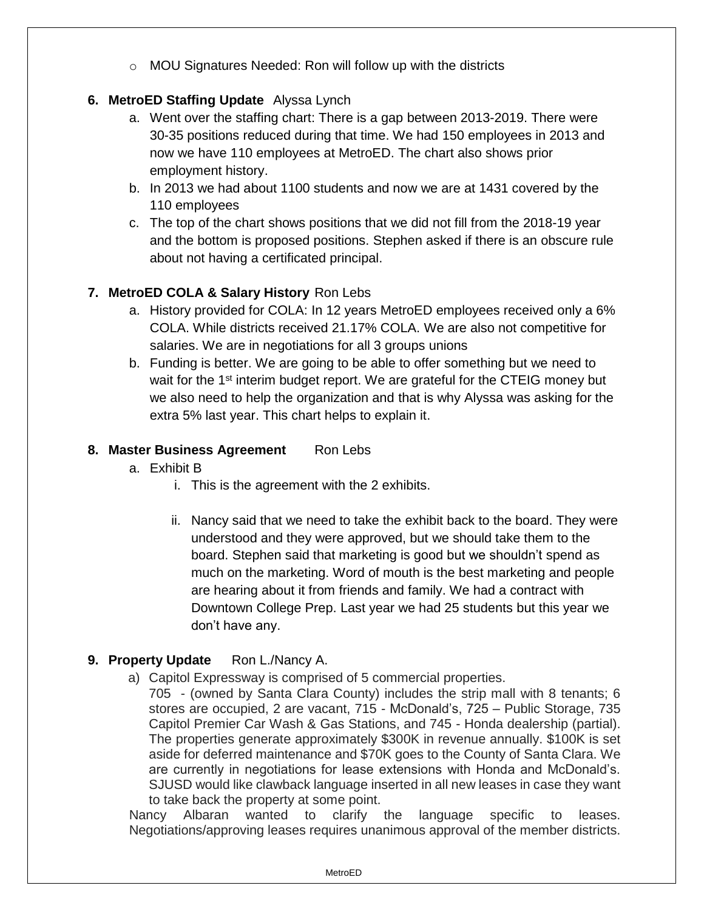o MOU Signatures Needed: Ron will follow up with the districts

# **6. MetroED Staffing Update** Alyssa Lynch

- a. Went over the staffing chart: There is a gap between 2013-2019. There were 30-35 positions reduced during that time. We had 150 employees in 2013 and now we have 110 employees at MetroED. The chart also shows prior employment history.
- b. In 2013 we had about 1100 students and now we are at 1431 covered by the 110 employees
- c. The top of the chart shows positions that we did not fill from the 2018-19 year and the bottom is proposed positions. Stephen asked if there is an obscure rule about not having a certificated principal.

# **7. MetroED COLA & Salary History** Ron Lebs

- a. History provided for COLA: In 12 years MetroED employees received only a 6% COLA. While districts received 21.17% COLA. We are also not competitive for salaries. We are in negotiations for all 3 groups unions
- b. Funding is better. We are going to be able to offer something but we need to wait for the  $1<sup>st</sup>$  interim budget report. We are grateful for the CTEIG money but we also need to help the organization and that is why Alyssa was asking for the extra 5% last year. This chart helps to explain it.

# 8. Master Business Agreement Ron Lebs

- a. Exhibit B
	- i. This is the agreement with the 2 exhibits.
	- ii. Nancy said that we need to take the exhibit back to the board. They were understood and they were approved, but we should take them to the board. Stephen said that marketing is good but we shouldn't spend as much on the marketing. Word of mouth is the best marketing and people are hearing about it from friends and family. We had a contract with Downtown College Prep. Last year we had 25 students but this year we don't have any.

# **9. Property Update** Ron L./Nancy A.

- a) Capitol Expressway is comprised of 5 commercial properties.
	- 705 (owned by Santa Clara County) includes the strip mall with 8 tenants; 6 stores are occupied, 2 are vacant, 715 - McDonald's, 725 – Public Storage, 735 Capitol Premier Car Wash & Gas Stations, and 745 - Honda dealership (partial). The properties generate approximately \$300K in revenue annually. \$100K is set aside for deferred maintenance and \$70K goes to the County of Santa Clara. We are currently in negotiations for lease extensions with Honda and McDonald's. SJUSD would like clawback language inserted in all new leases in case they want to take back the property at some point.

Nancy Albaran wanted to clarify the language specific to leases. Negotiations/approving leases requires unanimous approval of the member districts.